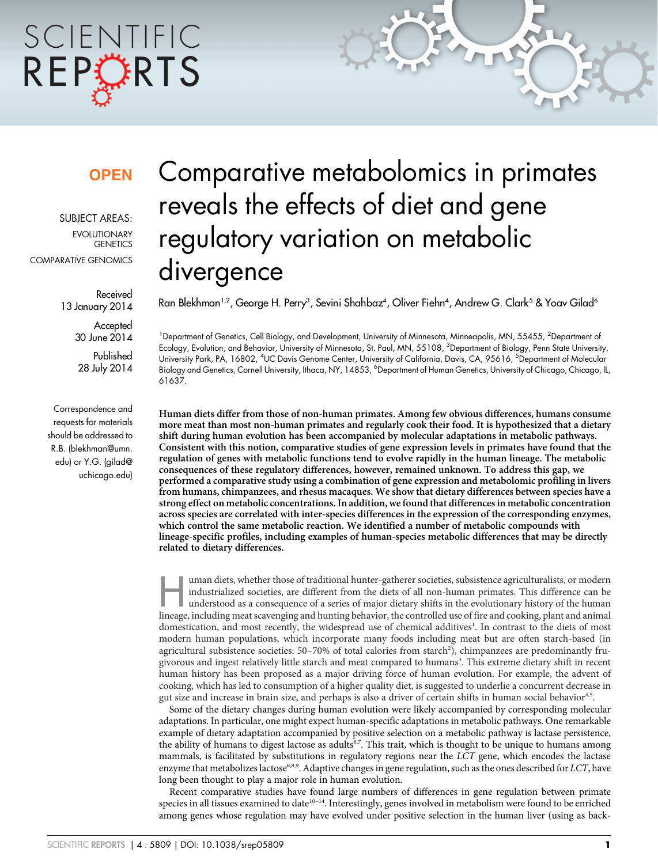# SCIENTIFIC REPORTS

### **OPFN**

SUBJECT AREAS: EVOLUTIONARY **GENETICS** COMPARATIVE GENOMICS

> Received 13 January 2014

> > **Accepted** 30 June 2014

Published 28 July 2014

Correspondence and requests for materials should be addressed to R.B. (blekhman@umn. edu) or Y.G. (gilad@ uchicago.edu)

## Comparative metabolomics in primates reveals the effects of diet and gene regulatory variation on metabolic divergence

Ran Blekhman<sup>1,2</sup>, George H. Perry<sup>3</sup>, Sevini Shahbaz<sup>4</sup>, Oliver Fiehn<sup>4</sup>, Andrew G. Clark<sup>5</sup> & Yoav Gilad<sup>4</sup>

<sup>1</sup> Department of Genetics, Cell Biology, and Development, University of Minnesota, Minneapolis, MN, 55455, <sup>2</sup>Department of Ecology, Evolution, and Behavior, University of Minnesota, St. Paul, MN, 55108, <sup>3</sup>Department of Biology, Penn State University, University Park, PA, 16802, <sup>4</sup>UC Davis Genome Center, University of California, Davis, CA, 95616, <sup>5</sup>Department of Molecular Biology and Genetics, Cornell University, Ithaca, NY, 14853, <sup>6</sup>Department of Human Genetics, University of Chicago, Chicago, IL, 61637.

Human diets differ from those of non-human primates. Among few obvious differences, humans consume more meat than most non-human primates and regularly cook their food. It is hypothesized that a dietary shift during human evolution has been accompanied by molecular adaptations in metabolic pathways. Consistent with this notion, comparative studies of gene expression levels in primates have found that the regulation of genes with metabolic functions tend to evolve rapidly in the human lineage. The metabolic consequences of these regulatory differences, however, remained unknown. To address this gap, we performed a comparative study using a combination of gene expression and metabolomic profiling in livers from humans, chimpanzees, and rhesus macaques. We show that dietary differences between species have a strong effect on metabolic concentrations. In addition, we found that differences in metabolic concentration across species are correlated with inter-species differences in the expression of the corresponding enzymes, which control the same metabolic reaction. We identified a number of metabolic compounds with lineage-specific profiles, including examples of human-species metabolic differences that may be directly related to dietary differences.

uman diets, whether those of traditional hunter-gatherer societies, subsistence agriculturalists, or modern<br>industrialized societies, are different from the diets of all non-human primates. This difference can be<br>understoo industrialized societies, are different from the diets of all non-human primates. This difference can be lineage, including meat scavenging and hunting behavior, the controlled use of fire and cooking, plant and animal domestication, and most recently, the widespread use of chemical additives<sup>1</sup>. In contrast to the diets of most modern human populations, which incorporate many foods including meat but are often starch-based (in agricultural subsistence societies: 50-70% of total calories from starch<sup>2</sup>), chimpanzees are predominantly frugivorous and ingest relatively little starch and meat compared to humans<sup>3</sup>. This extreme dietary shift in recent human history has been proposed as a major driving force of human evolution. For example, the advent of cooking, which has led to consumption of a higher quality diet, is suggested to underlie a concurrent decrease in gut size and increase in brain size, and perhaps is also a driver of certain shifts in human social behavior<sup>4,5</sup>.

Some of the dietary changes during human evolution were likely accompanied by corresponding molecular adaptations. In particular, one might expect human-specific adaptations in metabolic pathways. One remarkable example of dietary adaptation accompanied by positive selection on a metabolic pathway is lactase persistence, the ability of humans to digest lactose as adults<sup>6,7</sup>. This trait, which is thought to be unique to humans among mammals, is facilitated by substitutions in regulatory regions near the LCT gene, which encodes the lactase enzyme that metabolizes lactose<sup>6,8,9</sup>. Adaptive changes in gene regulation, such as the ones described for LCT, have long been thought to play a major role in human evolution.

Recent comparative studies have found large numbers of differences in gene regulation between primate species in all tissues examined to date<sup>10-14</sup>. Interestingly, genes involved in metabolism were found to be enriched among genes whose regulation may have evolved under positive selection in the human liver (using as back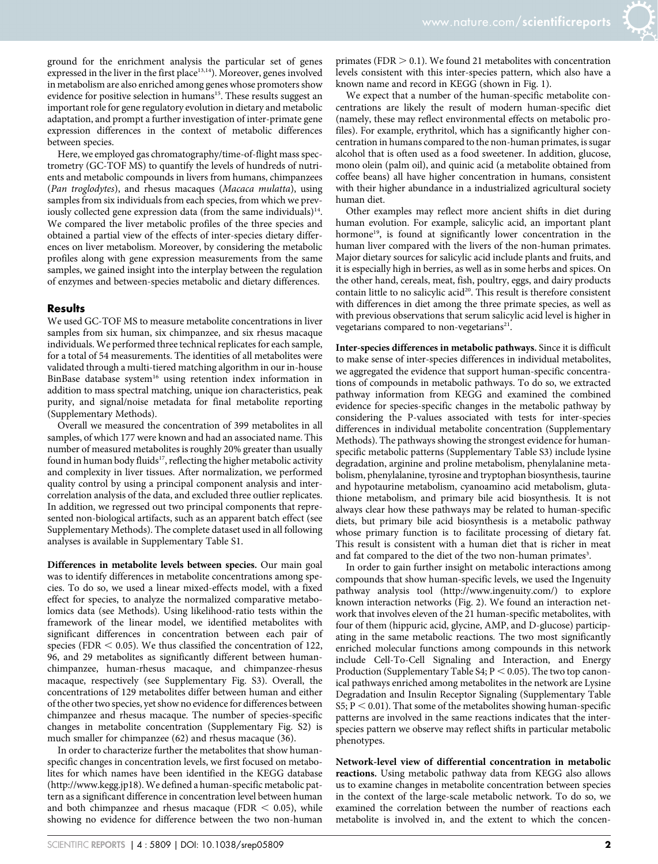ground for the enrichment analysis the particular set of genes expressed in the liver in the first place<sup>13,14</sup>). Moreover, genes involved in metabolism are also enriched among genes whose promoters show evidence for positive selection in humans<sup>15</sup>. These results suggest an important role for gene regulatory evolution in dietary and metabolic adaptation, and prompt a further investigation of inter-primate gene expression differences in the context of metabolic differences between species.

Here, we employed gas chromatography/time-of-flight mass spectrometry (GC-TOF MS) to quantify the levels of hundreds of nutrients and metabolic compounds in livers from humans, chimpanzees (Pan troglodytes), and rhesus macaques (Macaca mulatta), using samples from six individuals from each species, from which we previously collected gene expression data (from the same individuals) $14$ . We compared the liver metabolic profiles of the three species and obtained a partial view of the effects of inter-species dietary differences on liver metabolism. Moreover, by considering the metabolic profiles along with gene expression measurements from the same samples, we gained insight into the interplay between the regulation of enzymes and between-species metabolic and dietary differences.

#### **Results**

We used GC-TOF MS to measure metabolite concentrations in liver samples from six human, six chimpanzee, and six rhesus macaque individuals. We performed three technical replicates for each sample, for a total of 54 measurements. The identities of all metabolites were validated through a multi-tiered matching algorithm in our in-house BinBase database system<sup>16</sup> using retention index information in addition to mass spectral matching, unique ion characteristics, peak purity, and signal/noise metadata for final metabolite reporting (Supplementary Methods).

Overall we measured the concentration of 399 metabolites in all samples, of which 177 were known and had an associated name. This number of measured metabolites is roughly 20% greater than usually found in human body fluids<sup>17</sup>, reflecting the higher metabolic activity and complexity in liver tissues. After normalization, we performed quality control by using a principal component analysis and intercorrelation analysis of the data, and excluded three outlier replicates. In addition, we regressed out two principal components that represented non-biological artifacts, such as an apparent batch effect (see Supplementary Methods). The complete dataset used in all following analyses is available in Supplementary Table S1.

Differences in metabolite levels between species. Our main goal was to identify differences in metabolite concentrations among species. To do so, we used a linear mixed-effects model, with a fixed effect for species, to analyze the normalized comparative metabolomics data (see Methods). Using likelihood-ratio tests within the framework of the linear model, we identified metabolites with significant differences in concentration between each pair of species (FDR  $<$  0.05). We thus classified the concentration of 122, 96, and 29 metabolites as significantly different between humanchimpanzee, human-rhesus macaque, and chimpanzee-rhesus macaque, respectively (see Supplementary Fig. S3). Overall, the concentrations of 129 metabolites differ between human and either of the other two species, yet show no evidence for differences between chimpanzee and rhesus macaque. The number of species-specific changes in metabolite concentration (Supplementary Fig. S2) is much smaller for chimpanzee (62) and rhesus macaque (36).

In order to characterize further the metabolites that show humanspecific changes in concentration levels, we first focused on metabolites for which names have been identified in the KEGG database [\(http://www.kegg.jp18](http://www.kegg.jp18)). We defined a human-specific metabolic pattern as a significant difference in concentration level between human and both chimpanzee and rhesus macaque (FDR  $<$  0.05), while showing no evidence for difference between the two non-human

primates (FDR  $>$  0.1). We found 21 metabolites with concentration levels consistent with this inter-species pattern, which also have a known name and record in KEGG (shown in Fig. 1).

We expect that a number of the human-specific metabolite concentrations are likely the result of modern human-specific diet (namely, these may reflect environmental effects on metabolic profiles). For example, erythritol, which has a significantly higher concentration in humans compared to the non-human primates, is sugar alcohol that is often used as a food sweetener. In addition, glucose, mono olein (palm oil), and quinic acid (a metabolite obtained from coffee beans) all have higher concentration in humans, consistent with their higher abundance in a industrialized agricultural society human diet.

Other examples may reflect more ancient shifts in diet during human evolution. For example, salicylic acid, an important plant hormone<sup>19</sup>, is found at significantly lower concentration in the human liver compared with the livers of the non-human primates. Major dietary sources for salicylic acid include plants and fruits, and it is especially high in berries, as well as in some herbs and spices. On the other hand, cereals, meat, fish, poultry, eggs, and dairy products contain little to no salicylic acid<sup>20</sup>. This result is therefore consistent with differences in diet among the three primate species, as well as with previous observations that serum salicylic acid level is higher in vegetarians compared to non-vegetarians<sup>21</sup>.

Inter-species differences in metabolic pathways. Since it is difficult to make sense of inter-species differences in individual metabolites, we aggregated the evidence that support human-specific concentrations of compounds in metabolic pathways. To do so, we extracted pathway information from KEGG and examined the combined evidence for species-specific changes in the metabolic pathway by considering the P-values associated with tests for inter-species differences in individual metabolite concentration (Supplementary Methods). The pathways showing the strongest evidence for humanspecific metabolic patterns (Supplementary Table S3) include lysine degradation, arginine and proline metabolism, phenylalanine metabolism, phenylalanine, tyrosine and tryptophan biosynthesis, taurine and hypotaurine metabolism, cyanoamino acid metabolism, glutathione metabolism, and primary bile acid biosynthesis. It is not always clear how these pathways may be related to human-specific diets, but primary bile acid biosynthesis is a metabolic pathway whose primary function is to facilitate processing of dietary fat. This result is consistent with a human diet that is richer in meat and fat compared to the diet of the two non-human primates<sup>3</sup>.

In order to gain further insight on metabolic interactions among compounds that show human-specific levels, we used the Ingenuity pathway analysis tool ([http://www.ingenuity.com/\)](http://www.ingenuity.com) to explore known interaction networks (Fig. 2). We found an interaction network that involves eleven of the 21 human-specific metabolites, with four of them (hippuric acid, glycine, AMP, and D-glucose) participating in the same metabolic reactions. The two most significantly enriched molecular functions among compounds in this network include Cell-To-Cell Signaling and Interaction, and Energy Production (Supplementary Table S4;  $P < 0.05$ ). The two top canonical pathways enriched among metabolites in the network are Lysine Degradation and Insulin Receptor Signaling (Supplementary Table  $S5$ ;  $P < 0.01$ ). That some of the metabolites showing human-specific patterns are involved in the same reactions indicates that the interspecies pattern we observe may reflect shifts in particular metabolic phenotypes.

Network-level view of differential concentration in metabolic reactions. Using metabolic pathway data from KEGG also allows us to examine changes in metabolite concentration between species in the context of the large-scale metabolic network. To do so, we examined the correlation between the number of reactions each metabolite is involved in, and the extent to which the concen-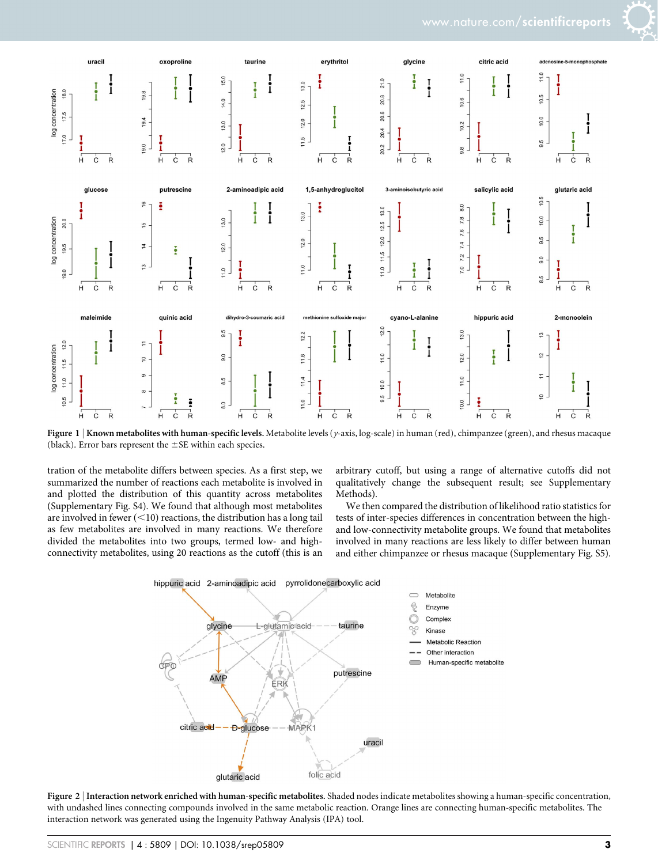

Figure 1 | Known metabolites with human-specific levels. Metabolite levels (y-axis, log-scale) in human (red), chimpanzee (green), and rhesus macaque (black). Error bars represent the  $\pm$ SE within each species.

tration of the metabolite differs between species. As a first step, we summarized the number of reactions each metabolite is involved in and plotted the distribution of this quantity across metabolites (Supplementary Fig. S4). We found that although most metabolites are involved in fewer  $(<10)$  reactions, the distribution has a long tail as few metabolites are involved in many reactions. We therefore divided the metabolites into two groups, termed low- and highconnectivity metabolites, using 20 reactions as the cutoff (this is an arbitrary cutoff, but using a range of alternative cutoffs did not qualitatively change the subsequent result; see Supplementary Methods).

We then compared the distribution of likelihood ratio statistics for tests of inter-species differences in concentration between the highand low-connectivity metabolite groups. We found that metabolites involved in many reactions are less likely to differ between human and either chimpanzee or rhesus macaque (Supplementary Fig. S5).



Figure 2 | Interaction network enriched with human-specific metabolites. Shaded nodes indicate metabolites showing a human-specific concentration, with undashed lines connecting compounds involved in the same metabolic reaction. Orange lines are connecting human-specific metabolites. The interaction network was generated using the Ingenuity Pathway Analysis (IPA) tool.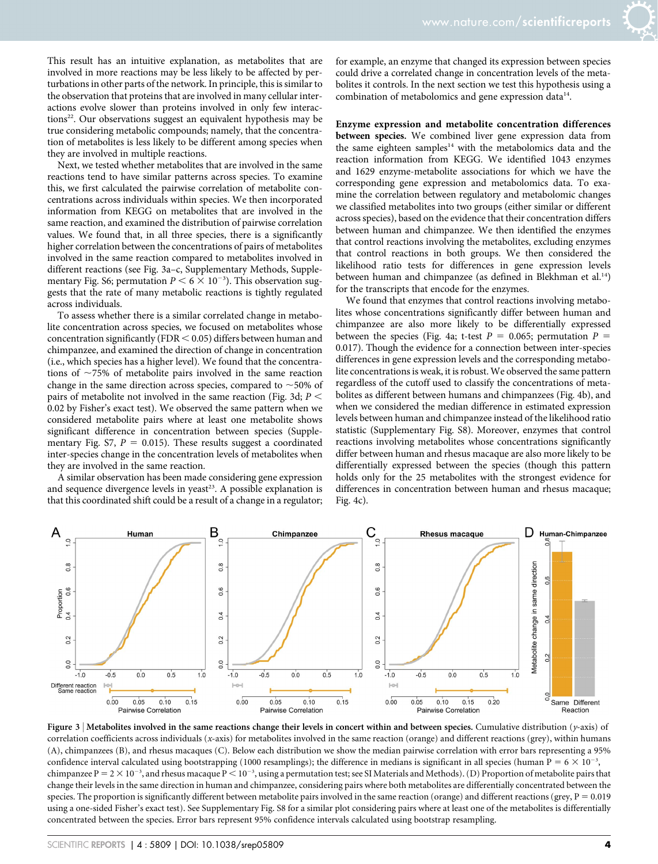This result has an intuitive explanation, as metabolites that are involved in more reactions may be less likely to be affected by perturbations in other parts of the network. In principle, this is similar to the observation that proteins that are involved in many cellular interactions evolve slower than proteins involved in only few interactions<sup>22</sup>. Our observations suggest an equivalent hypothesis may be true considering metabolic compounds; namely, that the concentration of metabolites is less likely to be different among species when they are involved in multiple reactions.

Next, we tested whether metabolites that are involved in the same reactions tend to have similar patterns across species. To examine this, we first calculated the pairwise correlation of metabolite concentrations across individuals within species. We then incorporated information from KEGG on metabolites that are involved in the same reaction, and examined the distribution of pairwise correlation values. We found that, in all three species, there is a significantly higher correlation between the concentrations of pairs of metabolites involved in the same reaction compared to metabolites involved in different reactions (see Fig. 3a–c, Supplementary Methods, Supplementary Fig. S6; permutation  $P \le 6 \times 10^{-3}$ ). This observation suggests that the rate of many metabolic reactions is tightly regulated across individuals.

To assess whether there is a similar correlated change in metabolite concentration across species, we focused on metabolites whose concentration significantly (FDR  $<$  0.05) differs between human and chimpanzee, and examined the direction of change in concentration (i.e., which species has a higher level). We found that the concentrations of  $\sim$ 75% of metabolite pairs involved in the same reaction change in the same direction across species, compared to  $\sim$  50% of pairs of metabolite not involved in the same reaction (Fig. 3d;  $P \leq$ 0.02 by Fisher's exact test). We observed the same pattern when we considered metabolite pairs where at least one metabolite shows significant difference in concentration between species (Supplementary Fig.  $S7$ ,  $P = 0.015$ ). These results suggest a coordinated inter-species change in the concentration levels of metabolites when they are involved in the same reaction.

A similar observation has been made considering gene expression and sequence divergence levels in yeast<sup>23</sup>. A possible explanation is that this coordinated shift could be a result of a change in a regulator; for example, an enzyme that changed its expression between species could drive a correlated change in concentration levels of the metabolites it controls. In the next section we test this hypothesis using a combination of metabolomics and gene expression data<sup>14</sup>.

Enzyme expression and metabolite concentration differences between species. We combined liver gene expression data from the same eighteen samples<sup>14</sup> with the metabolomics data and the reaction information from KEGG. We identified 1043 enzymes and 1629 enzyme-metabolite associations for which we have the corresponding gene expression and metabolomics data. To examine the correlation between regulatory and metabolomic changes we classified metabolites into two groups (either similar or different across species), based on the evidence that their concentration differs between human and chimpanzee. We then identified the enzymes that control reactions involving the metabolites, excluding enzymes that control reactions in both groups. We then considered the likelihood ratio tests for differences in gene expression levels between human and chimpanzee (as defined in Blekhman et al.<sup>14</sup>) for the transcripts that encode for the enzymes.

We found that enzymes that control reactions involving metabolites whose concentrations significantly differ between human and chimpanzee are also more likely to be differentially expressed between the species (Fig. 4a; t-test  $P = 0.065$ ; permutation  $P =$ 0.017). Though the evidence for a connection between inter-species differences in gene expression levels and the corresponding metabolite concentrations is weak, it is robust. We observed the same pattern regardless of the cutoff used to classify the concentrations of metabolites as different between humans and chimpanzees (Fig. 4b), and when we considered the median difference in estimated expression levels between human and chimpanzee instead of the likelihood ratio statistic (Supplementary Fig. S8). Moreover, enzymes that control reactions involving metabolites whose concentrations significantly differ between human and rhesus macaque are also more likely to be differentially expressed between the species (though this pattern holds only for the 25 metabolites with the strongest evidence for differences in concentration between human and rhesus macaque; Fig. 4c).



Figure 3 | Metabolites involved in the same reactions change their levels in concert within and between species. Cumulative distribution (y-axis) of correlation coefficients across individuals (x-axis) for metabolites involved in the same reaction (orange) and different reactions (grey), within humans (A), chimpanzees (B), and rhesus macaques (C). Below each distribution we show the median pairwise correlation with error bars representing a 95% confidence interval calculated using bootstrapping (1000 resamplings); the difference in medians is significant in all species (human  $P = 6 \times 10^{-3}$ , chimpanzee  $P = 2 \times 10^{-3}$ , and rhesus macaque  $P \le 10^{-3}$ , using a permutation test; see SI Materials and Methods). (D) Proportion of metabolite pairs that change their levels in the same direction in human and chimpanzee, considering pairs where both metabolites are differentially concentrated between the species. The proportion is significantly different between metabolite pairs involved in the same reaction (orange) and different reactions (grey,  $P = 0.019$ using a one-sided Fisher's exact test). See Supplementary Fig. S8 for a similar plot considering pairs where at least one of the metabolites is differentially concentrated between the species. Error bars represent 95% confidence intervals calculated using bootstrap resampling.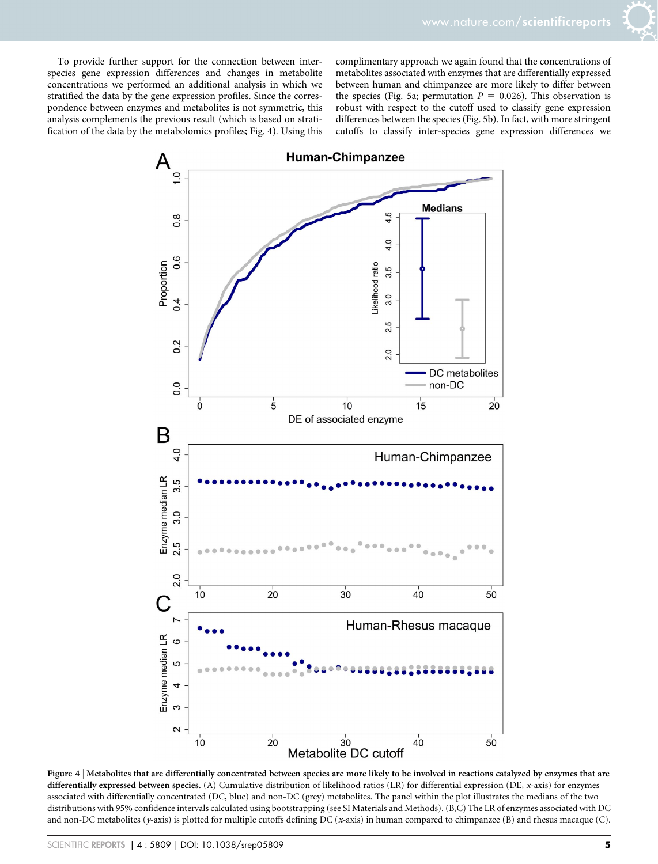To provide further support for the connection between interspecies gene expression differences and changes in metabolite concentrations we performed an additional analysis in which we stratified the data by the gene expression profiles. Since the correspondence between enzymes and metabolites is not symmetric, this analysis complements the previous result (which is based on stratification of the data by the metabolomics profiles; Fig. 4). Using this

complimentary approach we again found that the concentrations of metabolites associated with enzymes that are differentially expressed between human and chimpanzee are more likely to differ between the species (Fig. 5a; permutation  $P = 0.026$ ). This observation is robust with respect to the cutoff used to classify gene expression differences between the species (Fig. 5b). In fact, with more stringent cutoffs to classify inter-species gene expression differences we



Figure 4 | Metabolites that are differentially concentrated between species are more likely to be involved in reactions catalyzed by enzymes that are differentially expressed between species. (A) Cumulative distribution of likelihood ratios (LR) for differential expression (DE, x-axis) for enzymes associated with differentially concentrated (DC, blue) and non-DC (grey) metabolites. The panel within the plot illustrates the medians of the two distributions with 95% confidence intervals calculated using bootstrapping (see SI Materials and Methods). (B,C) The LR of enzymes associated with DC and non-DC metabolites (y-axis) is plotted for multiple cutoffs defining DC (x-axis) in human compared to chimpanzee (B) and rhesus macaque (C).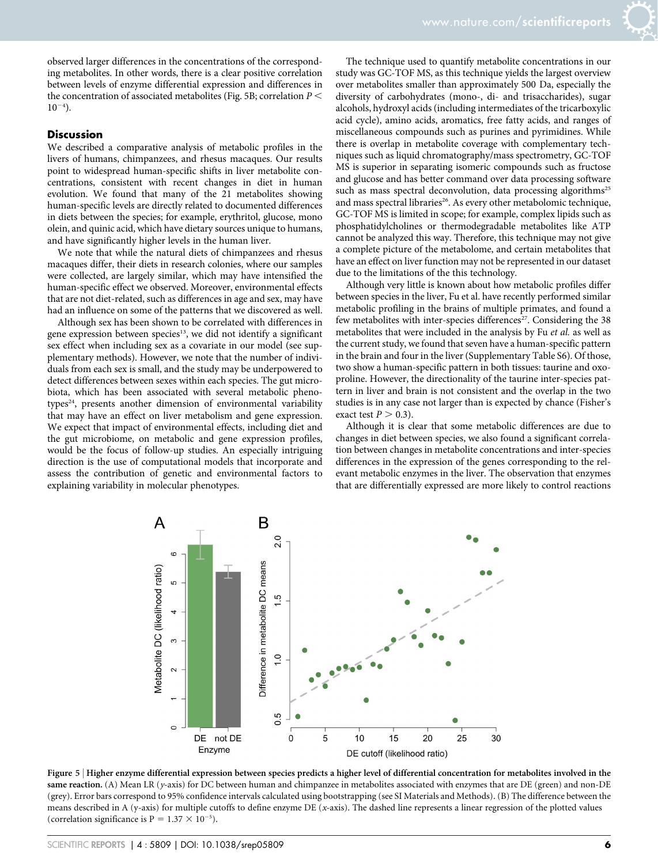observed larger differences in the concentrations of the corresponding metabolites. In other words, there is a clear positive correlation between levels of enzyme differential expression and differences in the concentration of associated metabolites (Fig. 5B; correlation  $P$  <  $10^{-4}$ ).

#### Discussion

We described a comparative analysis of metabolic profiles in the livers of humans, chimpanzees, and rhesus macaques. Our results point to widespread human-specific shifts in liver metabolite concentrations, consistent with recent changes in diet in human evolution. We found that many of the 21 metabolites showing human-specific levels are directly related to documented differences in diets between the species; for example, erythritol, glucose, mono olein, and quinic acid, which have dietary sources unique to humans, and have significantly higher levels in the human liver.

We note that while the natural diets of chimpanzees and rhesus macaques differ, their diets in research colonies, where our samples were collected, are largely similar, which may have intensified the human-specific effect we observed. Moreover, environmental effects that are not diet-related, such as differences in age and sex, may have had an influence on some of the patterns that we discovered as well.

Although sex has been shown to be correlated with differences in gene expression between species<sup>13</sup>, we did not identify a significant sex effect when including sex as a covariate in our model (see supplementary methods). However, we note that the number of individuals from each sex is small, and the study may be underpowered to detect differences between sexes within each species. The gut microbiota, which has been associated with several metabolic phenotypes<sup>24</sup>, presents another dimension of environmental variability that may have an effect on liver metabolism and gene expression. We expect that impact of environmental effects, including diet and the gut microbiome, on metabolic and gene expression profiles, would be the focus of follow-up studies. An especially intriguing direction is the use of computational models that incorporate and assess the contribution of genetic and environmental factors to explaining variability in molecular phenotypes.

The technique used to quantify metabolite concentrations in our study was GC-TOF MS, as this technique yields the largest overview over metabolites smaller than approximately 500 Da, especially the diversity of carbohydrates (mono-, di- and trisaccharides), sugar alcohols, hydroxyl acids (including intermediates of the tricarboxylic acid cycle), amino acids, aromatics, free fatty acids, and ranges of miscellaneous compounds such as purines and pyrimidines. While there is overlap in metabolite coverage with complementary techniques such as liquid chromatography/mass spectrometry, GC-TOF MS is superior in separating isomeric compounds such as fructose and glucose and has better command over data processing software such as mass spectral deconvolution, data processing algorithms<sup>25</sup> and mass spectral libraries<sup>26</sup>. As every other metabolomic technique, GC-TOF MS is limited in scope; for example, complex lipids such as phosphatidylcholines or thermodegradable metabolites like ATP cannot be analyzed this way. Therefore, this technique may not give a complete picture of the metabolome, and certain metabolites that have an effect on liver function may not be represented in our dataset due to the limitations of the this technology.

Although very little is known about how metabolic profiles differ between species in the liver, Fu et al. have recently performed similar metabolic profiling in the brains of multiple primates, and found a few metabolites with inter-species differences<sup>27</sup>. Considering the 38 metabolites that were included in the analysis by Fu et al. as well as the current study, we found that seven have a human-specific pattern in the brain and four in the liver (Supplementary Table S6). Of those, two show a human-specific pattern in both tissues: taurine and oxoproline. However, the directionality of the taurine inter-species pattern in liver and brain is not consistent and the overlap in the two studies is in any case not larger than is expected by chance (Fisher's exact test  $P > 0.3$ ).

Although it is clear that some metabolic differences are due to changes in diet between species, we also found a significant correlation between changes in metabolite concentrations and inter-species differences in the expression of the genes corresponding to the relevant metabolic enzymes in the liver. The observation that enzymes that are differentially expressed are more likely to control reactions



Figure 5 | Higher enzyme differential expression between species predicts a higher level of differential concentration for metabolites involved in the same reaction. (A) Mean LR (y-axis) for DC between human and chimpanzee in metabolites associated with enzymes that are DE (green) and non-DE (grey). Error bars correspond to 95% confidence intervals calculated using bootstrapping (see SI Materials and Methods). (B) The difference between the means described in A (y-axis) for multiple cutoffs to define enzyme DE (x-axis). The dashed line represents a linear regression of the plotted values (correlation significance is  $P = 1.37 \times 10^{-5}$ ).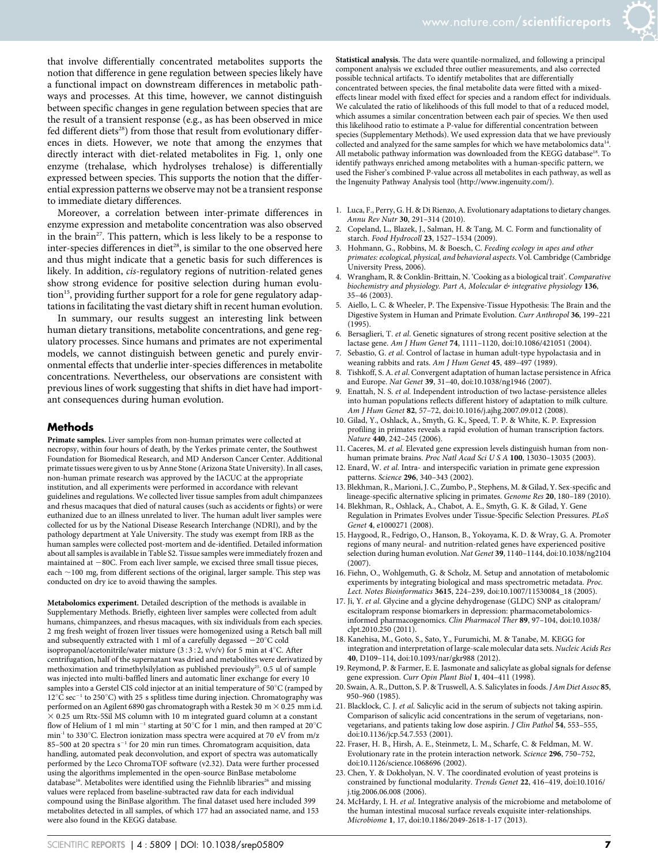that involve differentially concentrated metabolites supports the notion that difference in gene regulation between species likely have a functional impact on downstream differences in metabolic pathways and processes. At this time, however, we cannot distinguish between specific changes in gene regulation between species that are the result of a transient response (e.g., as has been observed in mice fed different diets<sup>28</sup>) from those that result from evolutionary differences in diets. However, we note that among the enzymes that directly interact with diet-related metabolites in Fig. 1, only one enzyme (trehalase, which hydrolyses trehalose) is differentially expressed between species. This supports the notion that the differential expression patterns we observe may not be a transient response to immediate dietary differences.

Moreover, a correlation between inter-primate differences in enzyme expression and metabolite concentration was also observed in the brain<sup>27</sup>. This pattern, which is less likely to be a response to inter-species differences in diet<sup>28</sup>, is similar to the one observed here and thus might indicate that a genetic basis for such differences is likely. In addition, cis-regulatory regions of nutrition-related genes show strong evidence for positive selection during human evolution<sup>15</sup>, providing further support for a role for gene regulatory adaptations in facilitating the vast dietary shift in recent human evolution.

In summary, our results suggest an interesting link between human dietary transitions, metabolite concentrations, and gene regulatory processes. Since humans and primates are not experimental models, we cannot distinguish between genetic and purely environmental effects that underlie inter-species differences in metabolite concentrations. Nevertheless, our observations are consistent with previous lines of work suggesting that shifts in diet have had important consequences during human evolution.

#### Methods

Primate samples. Liver samples from non-human primates were collected at necropsy, within four hours of death, by the Yerkes primate center, the Southwest Foundation for Biomedical Research, and MD Anderson Cancer Center. Additional primate tissues were given to us by Anne Stone (Arizona State University). In all cases, non-human primate research was approved by the IACUC at the appropriate institution, and all experiments were performed in accordance with relevant guidelines and regulations. We collected liver tissue samples from adult chimpanzees and rhesus macaques that died of natural causes (such as accidents or fights) or were euthanized due to an illness unrelated to liver. The human adult liver samples were collected for us by the National Disease Research Interchange (NDRI), and by the pathology department at Yale University. The study was exempt from IRB as the human samples were collected post-mortem and de-identified. Detailed information about all samples is available in Table S2. Tissue samples were immediately frozen and maintained at  $-80C$ . From each liver sample, we excised three small tissue pieces, each  $\sim$  100 mg, from different sections of the original, larger sample. This step was conducted on dry ice to avoid thawing the samples.

Metabolomics experiment. Detailed description of the methods is available in Supplementary Methods. Briefly, eighteen liver samples were collected from adult humans, chimpanzees, and rhesus macaques, with six individuals from each species. 2 mg fresh weight of frozen liver tissues were homogenized using a Retsch ball mill and subsequently extracted with 1 ml of a carefully degassed  $-20^{\circ}$ C cold isopropanol/acetonitrile/water mixture (3:3:2, v/v/v) for 5 min at 4°C. After centrifugation, half of the supernatant was dried and metabolites were derivatized by methoximation and trimethylsilylation as published previously<sup>25</sup>. 0.5 ul of sample was injected into multi-baffled liners and automatic liner exchange for every 10 samples into a Gerstel CIS cold injector at an initial temperature of  $50^{\circ}$ C (ramped by  $12^{\circ}$ C sec<sup>-1</sup> to 250 $^{\circ}$ C) with 25 s splitless time during injection. Chromatography was performed on an Agilent 6890 gas chromatograph with a Restek 30 m  $\times$  0.25 mm i.d.  $\times$  0.25 um Rtx-5Sil MS column with 10 m integrated guard column at a constant flow of Helium of 1 ml min<sup>-1</sup> starting at 50°C for 1 min, and then ramped at 20°C min<sup>-1</sup> to 330°C. Electron ionization mass spectra were acquired at 70 eV from m/z 85–500 at 20 spectra  $s^{-1}$  for 20 min run times. Chromatogram acquisition, data handling, automated peak deconvolution, and export of spectra was automatically performed by the Leco ChromaTOF software (v2.32). Data were further processed using the algorithms implemented in the open-source BinBase metabolome database<sup>16</sup>. Metabolites were identified using the Fiehnlib libraries<sup>26</sup> and missing values were replaced from baseline-subtracted raw data for each individual compound using the BinBase algorithm. The final dataset used here included 399 metabolites detected in all samples, of which 177 had an associated name, and 153 were also found in the KEGG database.

Statistical analysis. The data were quantile-normalized, and following a principal component analysis we excluded three outlier measurements, and also corrected possible technical artifacts. To identify metabolites that are differentially concentrated between species, the final metabolite data were fitted with a mixedeffects linear model with fixed effect for species and a random effect for individuals. We calculated the ratio of likelihoods of this full model to that of a reduced model, which assumes a similar concentration between each pair of species. We then used this likelihood ratio to estimate a P-value for differential concentration between species (Supplementary Methods). We used expression data that we have previously collected and analyzed for the same samples for which we have metabolomics data<sup>14</sup> All metabolic pathway information was downloaded from the KEGG database<sup>18</sup>. To identify pathways enriched among metabolites with a human-specific pattern, we used the Fisher's combined P-value across all metabolites in each pathway, as well as the Ingenuity Pathway Analysis tool [\(http://www.ingenuity.com/](http://www.ingenuity.com)).

- 1. Luca, F., Perry, G. H. & Di Rienzo, A. Evolutionary adaptations to dietary changes. Annu Rev Nutr 30, 291–314 (2010).
- 2. Copeland, L., Blazek, J., Salman, H. & Tang, M. C. Form and functionality of starch. Food Hydrocoll 23, 1527–1534 (2009).
- 3. Hohmann, G., Robbins, M. & Boesch, C. Feeding ecology in apes and other primates: ecological, physical, and behavioral aspects. Vol. Cambridge (Cambridge University Press, 2006).
- 4. Wrangham, R. & Conklin-Brittain, N. 'Cooking as a biological trait'. Comparative biochemistry and physiology. Part A, Molecular & integrative physiology 136, 35–46 (2003).
- 5. Aiello, L. C. & Wheeler, P. The Expensive-Tissue Hypothesis: The Brain and the Digestive System in Human and Primate Evolution. Curr Anthropol 36, 199–221 (1995).
- 6. Bersaglieri, T. et al. Genetic signatures of strong recent positive selection at the lactase gene. Am J Hum Genet 74, 1111–1120, doi:10.1086/421051 (2004).
- Sebastio, G. et al. Control of lactase in human adult-type hypolactasia and in weaning rabbits and rats. Am J Hum Genet 45, 489-497 (1989).
- 8. Tishkoff, S. A. et al. Convergent adaptation of human lactase persistence in Africa and Europe. Nat Genet 39, 31–40, doi:10.1038/ng1946 (2007).
- 9. Enattah, N. S. et al. Independent introduction of two lactase-persistence alleles into human populations reflects different history of adaptation to milk culture. Am J Hum Genet 82, 57–72, doi:10.1016/j.ajhg.2007.09.012 (2008).
- 10. Gilad, Y., Oshlack, A., Smyth, G. K., Speed, T. P. & White, K. P. Expression profiling in primates reveals a rapid evolution of human transcription factors. Nature 440, 242–245 (2006).
- 11. Caceres, M. et al. Elevated gene expression levels distinguish human from nonhuman primate brains. Proc Natl Acad Sci U S A 100, 13030-13035 (2003).
- 12. Enard, W. et al. Intra- and interspecific variation in primate gene expression patterns. Science 296, 340–343 (2002).
- 13. Blekhman, R., Marioni, J. C., Zumbo, P., Stephens, M. & Gilad, Y. Sex-specific and lineage-specific alternative splicing in primates. Genome Res 20, 180–189 (2010).
- 14. Blekhman, R., Oshlack, A., Chabot, A. E., Smyth, G. K. & Gilad, Y. Gene Regulation in Primates Evolves under Tissue-Specific Selection Pressures. PLoS Genet 4, e1000271 (2008).
- 15. Haygood, R., Fedrigo, O., Hanson, B., Yokoyama, K. D. & Wray, G. A. Promoter regions of many neural- and nutrition-related genes have experienced positive selection during human evolution. Nat Genet 39, 1140-1144, doi:10.1038/ng2104  $(2007)$
- 16. Fiehn, O., Wohlgemuth, G. & Scholz, M. Setup and annotation of metabolomic experiments by integrating biological and mass spectrometric metadata. Proc. Lect. Notes Bioinformatics 3615, 224–239, doi:10.1007/11530084\_18 (2005).
- 17. Ji, Y. et al. Glycine and a glycine dehydrogenase (GLDC) SNP as citalopram/ escitalopram response biomarkers in depression: pharmacometabolomicsinformed pharmacogenomics. Clin Pharmacol Ther 89, 97–104, doi:10.1038/ clpt.2010.250 (2011).
- 18. Kanehisa, M., Goto, S., Sato, Y., Furumichi, M. & Tanabe, M. KEGG for integration and interpretation of large-scale molecular data sets. Nucleic Acids Res 40, D109–114, doi:10.1093/nar/gkr988 (2012).
- 19. Reymond, P. & Farmer, E. E. Jasmonate and salicylate as global signals for defense gene expression. Curr Opin Plant Biol 1, 404–411 (1998).
- 20. Swain, A. R., Dutton, S. P. & Truswell, A. S. Salicylates in foods. J Am Diet Assoc 85, 950–960 (1985).
- 21. Blacklock, C. J. et al. Salicylic acid in the serum of subjects not taking aspirin. Comparison of salicylic acid concentrations in the serum of vegetarians, nonvegetarians, and patients taking low dose aspirin. J Clin Pathol 54, 553–555, doi:10.1136/jcp.54.7.553 (2001).
- 22. Fraser, H. B., Hirsh, A. E., Steinmetz, L. M., Scharfe, C. & Feldman, M. W. Evolutionary rate in the protein interaction network. Science 296, 750–752, doi:10.1126/science.1068696 (2002).
- 23. Chen, Y. & Dokholyan, N. V. The coordinated evolution of yeast proteins is constrained by functional modularity. Trends Genet 22, 416–419, doi:10.1016/ j.tig.2006.06.008 (2006).
- 24. McHardy, I. H. et al. Integrative analysis of the microbiome and metabolome of the human intestinal mucosal surface reveals exquisite inter-relationships. Microbiome 1, 17, doi:10.1186/2049-2618-1-17 (2013).